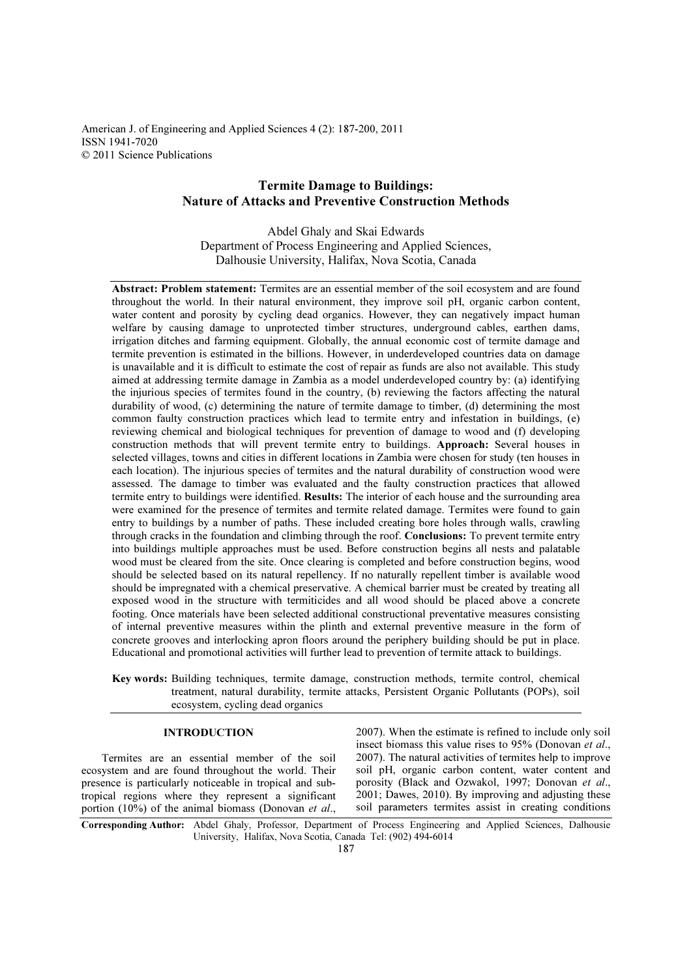American J. of Engineering and Applied Sciences 4 (2): 187-200, 2011 ISSN 1941-7020 © 2011 Science Publications

# Termite Damage to Buildings: Nature of Attacks and Preventive Construction Methods

Abdel Ghaly and Skai Edwards Department of Process Engineering and Applied Sciences, Dalhousie University, Halifax, Nova Scotia, Canada

Abstract: Problem statement: Termites are an essential member of the soil ecosystem and are found throughout the world. In their natural environment, they improve soil pH, organic carbon content, water content and porosity by cycling dead organics. However, they can negatively impact human welfare by causing damage to unprotected timber structures, underground cables, earthen dams, irrigation ditches and farming equipment. Globally, the annual economic cost of termite damage and termite prevention is estimated in the billions. However, in underdeveloped countries data on damage is unavailable and it is difficult to estimate the cost of repair as funds are also not available. This study aimed at addressing termite damage in Zambia as a model underdeveloped country by: (a) identifying the injurious species of termites found in the country, (b) reviewing the factors affecting the natural durability of wood, (c) determining the nature of termite damage to timber, (d) determining the most common faulty construction practices which lead to termite entry and infestation in buildings, (e) reviewing chemical and biological techniques for prevention of damage to wood and (f) developing construction methods that will prevent termite entry to buildings. Approach: Several houses in selected villages, towns and cities in different locations in Zambia were chosen for study (ten houses in each location). The injurious species of termites and the natural durability of construction wood were assessed. The damage to timber was evaluated and the faulty construction practices that allowed termite entry to buildings were identified. Results: The interior of each house and the surrounding area were examined for the presence of termites and termite related damage. Termites were found to gain entry to buildings by a number of paths. These included creating bore holes through walls, crawling through cracks in the foundation and climbing through the roof. Conclusions: To prevent termite entry into buildings multiple approaches must be used. Before construction begins all nests and palatable wood must be cleared from the site. Once clearing is completed and before construction begins, wood should be selected based on its natural repellency. If no naturally repellent timber is available wood should be impregnated with a chemical preservative. A chemical barrier must be created by treating all exposed wood in the structure with termiticides and all wood should be placed above a concrete footing. Once materials have been selected additional constructional preventative measures consisting of internal preventive measures within the plinth and external preventive measure in the form of concrete grooves and interlocking apron floors around the periphery building should be put in place. Educational and promotional activities will further lead to prevention of termite attack to buildings.

Key words: Building techniques, termite damage, construction methods, termite control, chemical treatment, natural durability, termite attacks, Persistent Organic Pollutants (POPs), soil ecosystem, cycling dead organics

### INTRODUCTION

 Termites are an essential member of the soil ecosystem and are found throughout the world. Their presence is particularly noticeable in tropical and subtropical regions where they represent a significant portion  $(10\%)$  of the animal biomass (Donovan *et al.*,

2007). When the estimate is refined to include only soil insect biomass this value rises to 95% (Donovan et al., 2007). The natural activities of termites help to improve soil pH, organic carbon content, water content and porosity (Black and Ozwakol, 1997; Donovan et al., 2001; Dawes, 2010). By improving and adjusting these soil parameters termites assist in creating conditions

Corresponding Author: Abdel Ghaly, Professor, Department of Process Engineering and Applied Sciences, Dalhousie University, Halifax, Nova Scotia, Canada Tel: (902) 494-6014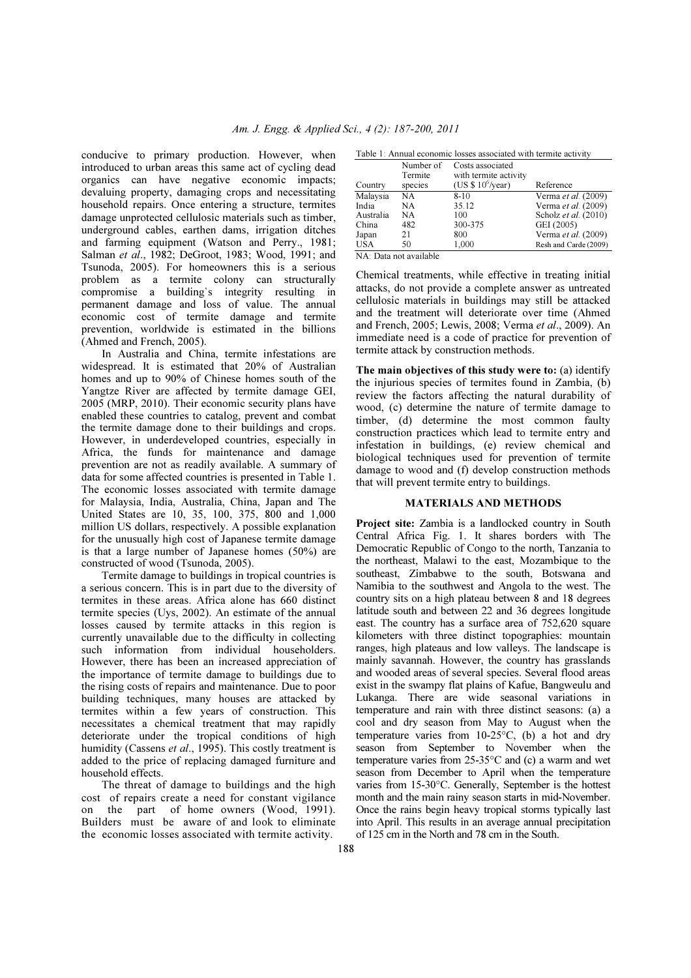conducive to primary production. However, when introduced to urban areas this same act of cycling dead organics can have negative economic impacts; devaluing property, damaging crops and necessitating household repairs. Once entering a structure, termites damage unprotected cellulosic materials such as timber, underground cables, earthen dams, irrigation ditches and farming equipment (Watson and Perry., 1981; Salman et al., 1982; DeGroot, 1983; Wood, 1991; and Tsunoda, 2005). For homeowners this is a serious problem as a termite colony can structurally compromise a building`s integrity resulting in permanent damage and loss of value. The annual economic cost of termite damage and termite prevention, worldwide is estimated in the billions (Ahmed and French, 2005).

 In Australia and China, termite infestations are widespread. It is estimated that 20% of Australian homes and up to 90% of Chinese homes south of the Yangtze River are affected by termite damage GEI, 2005 (MRP, 2010). Their economic security plans have enabled these countries to catalog, prevent and combat the termite damage done to their buildings and crops. However, in underdeveloped countries, especially in Africa, the funds for maintenance and damage prevention are not as readily available. A summary of data for some affected countries is presented in Table 1. The economic losses associated with termite damage for Malaysia, India, Australia, China, Japan and The United States are 10, 35, 100, 375, 800 and 1,000 million US dollars, respectively. A possible explanation for the unusually high cost of Japanese termite damage is that a large number of Japanese homes (50%) are constructed of wood (Tsunoda, 2005).

 Termite damage to buildings in tropical countries is a serious concern. This is in part due to the diversity of termites in these areas. Africa alone has 660 distinct termite species (Uys, 2002). An estimate of the annual losses caused by termite attacks in this region is currently unavailable due to the difficulty in collecting such information from individual householders. However, there has been an increased appreciation of the importance of termite damage to buildings due to the rising costs of repairs and maintenance. Due to poor building techniques, many houses are attacked by termites within a few years of construction. This necessitates a chemical treatment that may rapidly deteriorate under the tropical conditions of high humidity (Cassens et al., 1995). This costly treatment is added to the price of replacing damaged furniture and household effects.

 The threat of damage to buildings and the high cost of repairs create a need for constant vigilance on the part of home owners (Wood, 1991). Builders must be aware of and look to eliminate the economic losses associated with termite activity.

| Table 1: Annual economic losses associated with termite activity |           |                       |                       |  |  |
|------------------------------------------------------------------|-----------|-----------------------|-----------------------|--|--|
|                                                                  | Number of | Costs associated      |                       |  |  |
|                                                                  | Termite   | with termite activity |                       |  |  |
| Country                                                          | species   | (US $$10^6$ /year)    | Reference             |  |  |
| Malaysia                                                         | NA        | $8 - 10$              | Verma et al. (2009)   |  |  |
| India                                                            | NA        | 35.12                 | Verma et al. (2009)   |  |  |
| Australia                                                        | NA        | 100                   | Scholz et al. (2010)  |  |  |
| China                                                            | 482       | 300-375               | GEI (2005)            |  |  |
| Japan                                                            | 21        | 800                   | Verma et al. (2009)   |  |  |
| USA                                                              | 50        | 1,000                 | Resh and Carde (2009) |  |  |
|                                                                  |           |                       |                       |  |  |

NA: Data not available

Chemical treatments, while effective in treating initial attacks, do not provide a complete answer as untreated cellulosic materials in buildings may still be attacked and the treatment will deteriorate over time (Ahmed and French, 2005; Lewis, 2008; Verma et al., 2009). An immediate need is a code of practice for prevention of termite attack by construction methods.

The main objectives of this study were to: (a) identify the injurious species of termites found in Zambia, (b) review the factors affecting the natural durability of wood, (c) determine the nature of termite damage to timber, (d) determine the most common faulty construction practices which lead to termite entry and infestation in buildings, (e) review chemical and biological techniques used for prevention of termite damage to wood and (f) develop construction methods that will prevent termite entry to buildings.

## MATERIALS AND METHODS

Project site: Zambia is a landlocked country in South Central Africa Fig. 1. It shares borders with The Democratic Republic of Congo to the north, Tanzania to the northeast, Malawi to the east, Mozambique to the southeast, Zimbabwe to the south, Botswana and Namibia to the southwest and Angola to the west. The country sits on a high plateau between 8 and 18 degrees latitude south and between 22 and 36 degrees longitude east. The country has a surface area of 752,620 square kilometers with three distinct topographies: mountain ranges, high plateaus and low valleys. The landscape is mainly savannah. However, the country has grasslands and wooded areas of several species. Several flood areas exist in the swampy flat plains of Kafue, Bangweulu and Lukanga. There are wide seasonal variations in temperature and rain with three distinct seasons: (a) a cool and dry season from May to August when the temperature varies from 10-25°C, (b) a hot and dry season from September to November when the temperature varies from 25-35°C and (c) a warm and wet season from December to April when the temperature varies from 15-30°C. Generally, September is the hottest month and the main rainy season starts in mid-November. Once the rains begin heavy tropical storms typically last into April. This results in an average annual precipitation of 125 cm in the North and 78 cm in the South.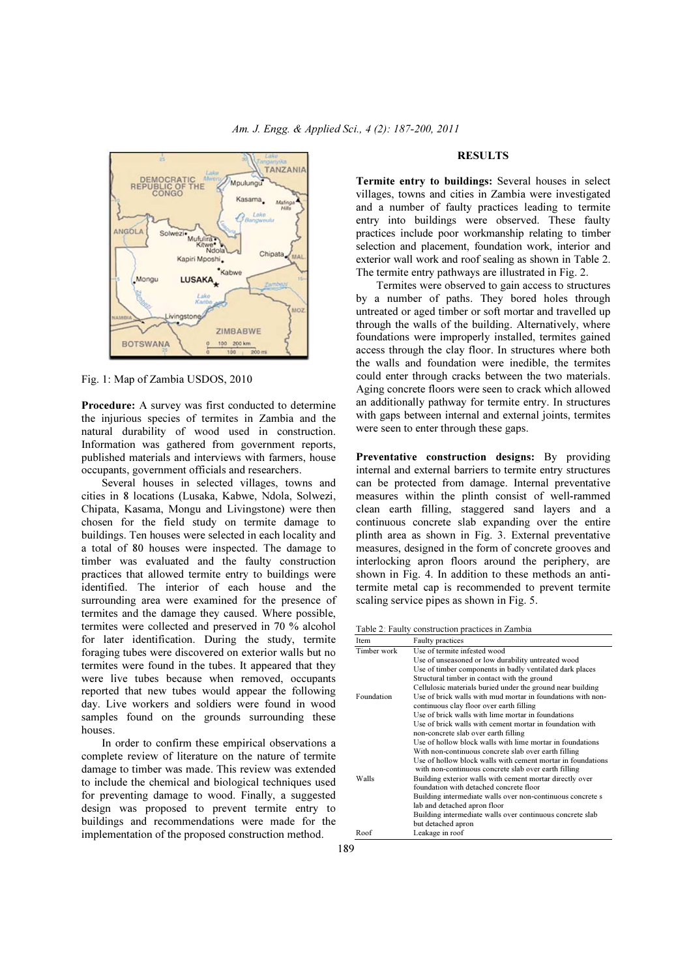

Fig. 1: Map of Zambia USDOS, 2010

Procedure: A survey was first conducted to determine the injurious species of termites in Zambia and the natural durability of wood used in construction. Information was gathered from government reports, published materials and interviews with farmers, house occupants, government officials and researchers.

 Several houses in selected villages, towns and cities in 8 locations (Lusaka, Kabwe, Ndola, Solwezi, Chipata, Kasama, Mongu and Livingstone) were then chosen for the field study on termite damage to buildings. Ten houses were selected in each locality and a total of 80 houses were inspected. The damage to timber was evaluated and the faulty construction practices that allowed termite entry to buildings were identified. The interior of each house and the surrounding area were examined for the presence of termites and the damage they caused. Where possible, termites were collected and preserved in 70 % alcohol for later identification. During the study, termite foraging tubes were discovered on exterior walls but no termites were found in the tubes. It appeared that they were live tubes because when removed, occupants reported that new tubes would appear the following day. Live workers and soldiers were found in wood samples found on the grounds surrounding these houses.

 In order to confirm these empirical observations a complete review of literature on the nature of termite damage to timber was made. This review was extended to include the chemical and biological techniques used for preventing damage to wood. Finally, a suggested design was proposed to prevent termite entry to buildings and recommendations were made for the implementation of the proposed construction method.

### RESULTS

Termite entry to buildings: Several houses in select villages, towns and cities in Zambia were investigated and a number of faulty practices leading to termite entry into buildings were observed. These faulty practices include poor workmanship relating to timber selection and placement, foundation work, interior and exterior wall work and roof sealing as shown in Table 2. The termite entry pathways are illustrated in Fig. 2.

 Termites were observed to gain access to structures by a number of paths. They bored holes through untreated or aged timber or soft mortar and travelled up through the walls of the building. Alternatively, where foundations were improperly installed, termites gained access through the clay floor. In structures where both the walls and foundation were inedible, the termites could enter through cracks between the two materials. Aging concrete floors were seen to crack which allowed an additionally pathway for termite entry. In structures with gaps between internal and external joints, termites were seen to enter through these gaps.

Preventative construction designs: By providing internal and external barriers to termite entry structures can be protected from damage. Internal preventative measures within the plinth consist of well-rammed clean earth filling, staggered sand layers and a continuous concrete slab expanding over the entire plinth area as shown in Fig. 3. External preventative measures, designed in the form of concrete grooves and interlocking apron floors around the periphery, are shown in Fig. 4. In addition to these methods an antitermite metal cap is recommended to prevent termite scaling service pipes as shown in Fig. 5.

Table 2: Faulty construction practices in Zambia

| Item        | Faulty practices                                                                                                 |  |
|-------------|------------------------------------------------------------------------------------------------------------------|--|
| Timber work | Use of termite infested wood                                                                                     |  |
|             | Use of unseasoned or low durability untreated wood                                                               |  |
|             | Use of timber components in badly ventilated dark places                                                         |  |
|             | Structural timber in contact with the ground                                                                     |  |
|             | Cellulosic materials buried under the ground near building                                                       |  |
| Foundation  | Use of brick walls with mud mortar in foundations with non-                                                      |  |
|             | continuous clay floor over earth filling                                                                         |  |
|             | Use of brick walls with lime mortar in foundations                                                               |  |
|             | Use of brick walls with cement mortar in foundation with                                                         |  |
|             | non-concrete slab over earth filling                                                                             |  |
|             | Use of hollow block walls with lime mortar in foundations                                                        |  |
|             | With non-continuous concrete slab over earth filling                                                             |  |
|             | Use of hollow block walls with cement mortar in foundations                                                      |  |
| Walls       | with non-continuous concrete slab over earth filling<br>Building exterior walls with cement mortar directly over |  |
|             | foundation with detached concrete floor                                                                          |  |
|             | Building intermediate walls over non-continuous concrete s                                                       |  |
|             | lab and detached apron floor                                                                                     |  |
|             | Building intermediate walls over continuous concrete slab                                                        |  |
|             |                                                                                                                  |  |
| Roof        | but detached apron                                                                                               |  |
|             | Leakage in roof                                                                                                  |  |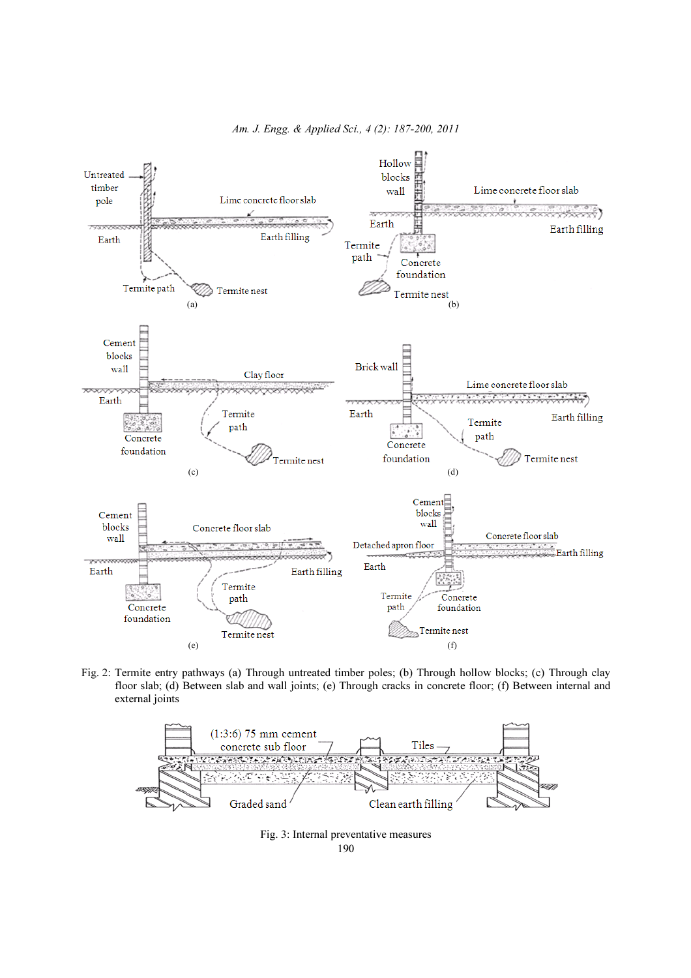

Fig. 2: Termite entry pathways (a) Through untreated timber poles; (b) Through hollow blocks; (c) Through clay floor slab; (d) Between slab and wall joints; (e) Through cracks in concrete floor; (f) Between internal and external joints



190 Fig. 3: Internal preventative measures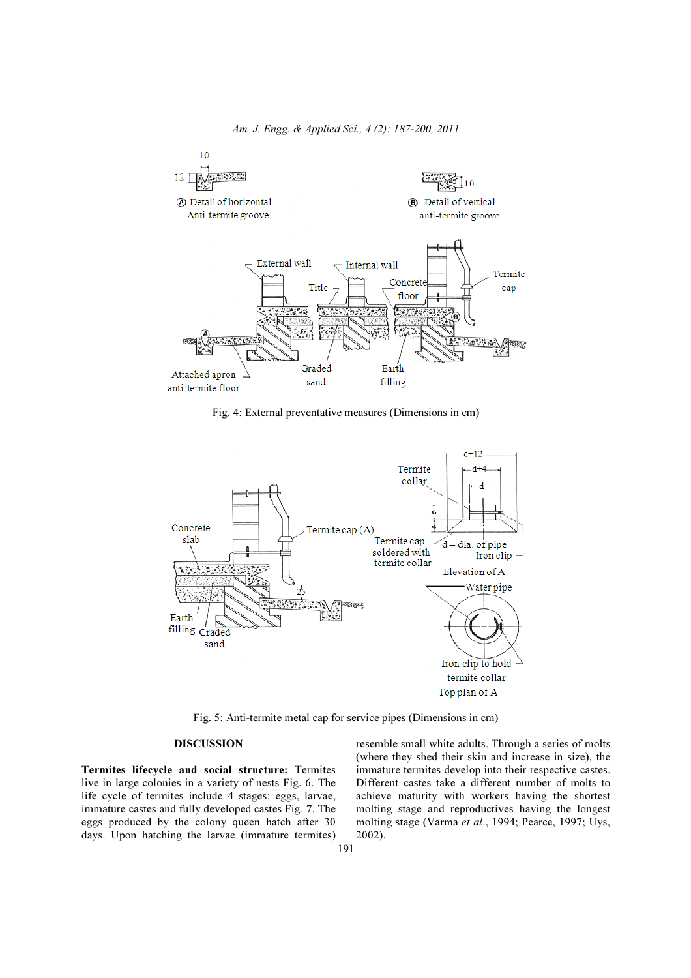

Fig. 4: External preventative measures (Dimensions in cm)



Fig. 5: Anti-termite metal cap for service pipes (Dimensions in cm)

# DISCUSSION

Termites lifecycle and social structure: Termites live in large colonies in a variety of nests Fig. 6. The life cycle of termites include 4 stages: eggs, larvae, immature castes and fully developed castes Fig. 7. The eggs produced by the colony queen hatch after 30 days. Upon hatching the larvae (immature termites)

resemble small white adults. Through a series of molts (where they shed their skin and increase in size), the immature termites develop into their respective castes. Different castes take a different number of molts to achieve maturity with workers having the shortest molting stage and reproductives having the longest molting stage (Varma et al., 1994; Pearce, 1997; Uys, 2002).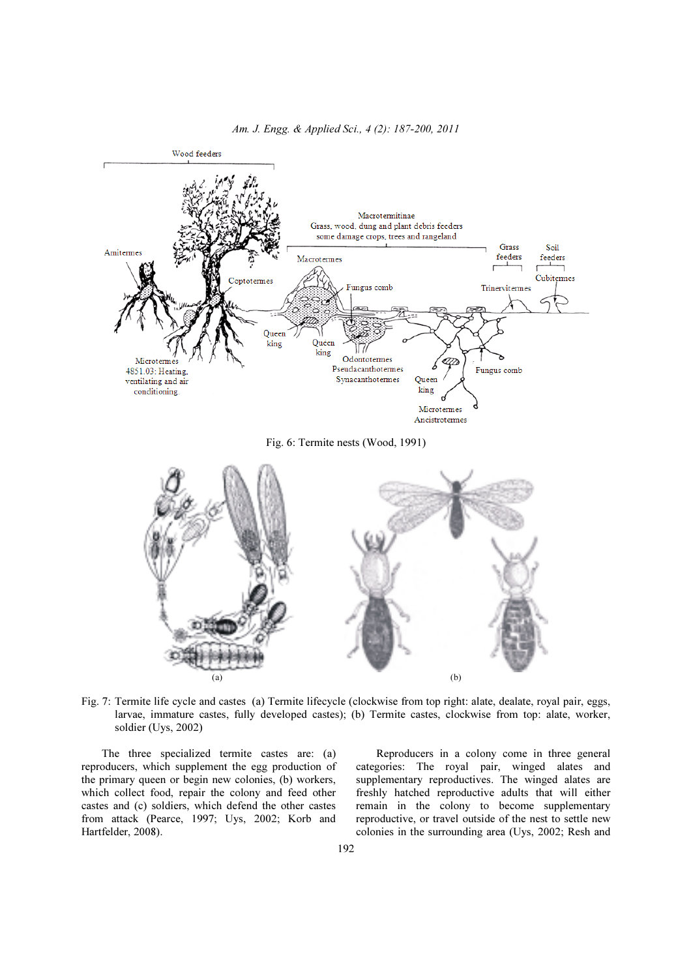

#### Am. J. Engg. & Applied Sci., 4 (2): 187-200, 2011

Fig. 7: Termite life cycle and castes (a) Termite lifecycle (clockwise from top right: alate, dealate, royal pair, eggs, larvae, immature castes, fully developed castes); (b) Termite castes, clockwise from top: alate, worker, soldier (Uys, 2002)

 The three specialized termite castes are: (a) reproducers, which supplement the egg production of the primary queen or begin new colonies, (b) workers, which collect food, repair the colony and feed other castes and (c) soldiers, which defend the other castes from attack (Pearce, 1997; Uys, 2002; Korb and Hartfelder, 2008).

 Reproducers in a colony come in three general categories: The royal pair, winged alates and supplementary reproductives. The winged alates are freshly hatched reproductive adults that will either remain in the colony to become supplementary reproductive, or travel outside of the nest to settle new colonies in the surrounding area (Uys, 2002; Resh and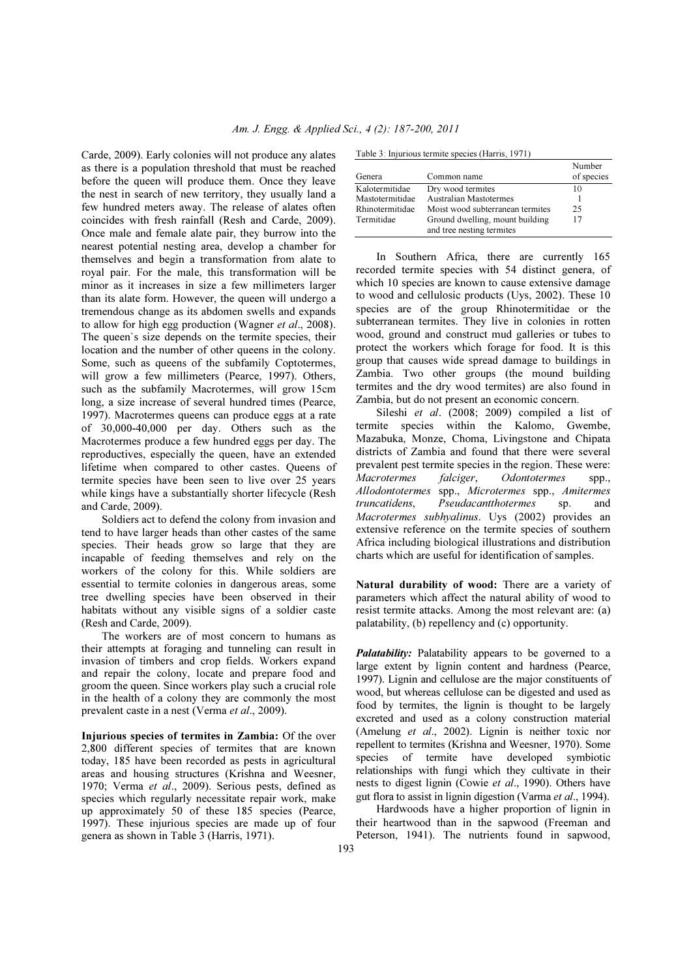Carde, 2009). Early colonies will not produce any alates as there is a population threshold that must be reached before the queen will produce them. Once they leave the nest in search of new territory, they usually land a few hundred meters away. The release of alates often coincides with fresh rainfall (Resh and Carde, 2009). Once male and female alate pair, they burrow into the nearest potential nesting area, develop a chamber for themselves and begin a transformation from alate to royal pair. For the male, this transformation will be minor as it increases in size a few millimeters larger than its alate form. However, the queen will undergo a tremendous change as its abdomen swells and expands to allow for high egg production (Wagner et al., 2008). The queen`s size depends on the termite species, their location and the number of other queens in the colony. Some, such as queens of the subfamily Coptotermes, will grow a few millimeters (Pearce, 1997). Others, such as the subfamily Macrotermes, will grow 15cm long, a size increase of several hundred times (Pearce, 1997). Macrotermes queens can produce eggs at a rate of 30,000-40,000 per day. Others such as the Macrotermes produce a few hundred eggs per day. The reproductives, especially the queen, have an extended lifetime when compared to other castes. Queens of termite species have been seen to live over 25 years while kings have a substantially shorter lifecycle (Resh and Carde, 2009).

 Soldiers act to defend the colony from invasion and tend to have larger heads than other castes of the same species. Their heads grow so large that they are incapable of feeding themselves and rely on the workers of the colony for this. While soldiers are essential to termite colonies in dangerous areas, some tree dwelling species have been observed in their habitats without any visible signs of a soldier caste (Resh and Carde, 2009).

 The workers are of most concern to humans as their attempts at foraging and tunneling can result in invasion of timbers and crop fields. Workers expand and repair the colony, locate and prepare food and groom the queen. Since workers play such a crucial role in the health of a colony they are commonly the most prevalent caste in a nest (Verma et al., 2009).

Injurious species of termites in Zambia: Of the over 2,800 different species of termites that are known today, 185 have been recorded as pests in agricultural areas and housing structures (Krishna and Weesner, 1970; Verma et al., 2009). Serious pests, defined as species which regularly necessitate repair work, make up approximately 50 of these 185 species (Pearce, 1997). These injurious species are made up of four genera as shown in Table 3 (Harris, 1971).

| Table 3: Injurious termite species (Harris, 1971) |  |
|---------------------------------------------------|--|
|---------------------------------------------------|--|

| Genera          | Common name                      | Number<br>of species |
|-----------------|----------------------------------|----------------------|
| Kalotermitidae  | Dry wood termites                | 10                   |
| Mastotermitidae | <b>Australian Mastotermes</b>    |                      |
| Rhinotermitidae | Moist wood subterranean termites | 25                   |
| Termitidae      | Ground dwelling, mount building  | 17                   |
|                 | and tree nesting termites        |                      |

 In Southern Africa, there are currently 165 recorded termite species with 54 distinct genera, of which 10 species are known to cause extensive damage to wood and cellulosic products (Uys, 2002). These 10 species are of the group Rhinotermitidae or the subterranean termites. They live in colonies in rotten wood, ground and construct mud galleries or tubes to protect the workers which forage for food. It is this group that causes wide spread damage to buildings in Zambia. Two other groups (the mound building termites and the dry wood termites) are also found in Zambia, but do not present an economic concern.

 Sileshi et al. (2008; 2009) compiled a list of termite species within the Kalomo, Gwembe, Mazabuka, Monze, Choma, Livingstone and Chipata districts of Zambia and found that there were several prevalent pest termite species in the region. These were: Macrotermes falciger, Odontotermes spp., Allodontotermes spp., Microtermes spp., Amitermes truncatidens, Pseudacantthotermes sp. and Macrotermes subhyalinus. Uys (2002) provides an extensive reference on the termite species of southern Africa including biological illustrations and distribution charts which are useful for identification of samples.

Natural durability of wood: There are a variety of parameters which affect the natural ability of wood to resist termite attacks. Among the most relevant are: (a) palatability, (b) repellency and (c) opportunity.

Palatability: Palatability appears to be governed to a large extent by lignin content and hardness (Pearce, 1997). Lignin and cellulose are the major constituents of wood, but whereas cellulose can be digested and used as food by termites, the lignin is thought to be largely excreted and used as a colony construction material (Amelung et al., 2002). Lignin is neither toxic nor repellent to termites (Krishna and Weesner, 1970). Some species of termite have developed symbiotic relationships with fungi which they cultivate in their nests to digest lignin (Cowie et al., 1990). Others have gut flora to assist in lignin digestion (Varma et al., 1994).

 Hardwoods have a higher proportion of lignin in their heartwood than in the sapwood (Freeman and Peterson, 1941). The nutrients found in sapwood,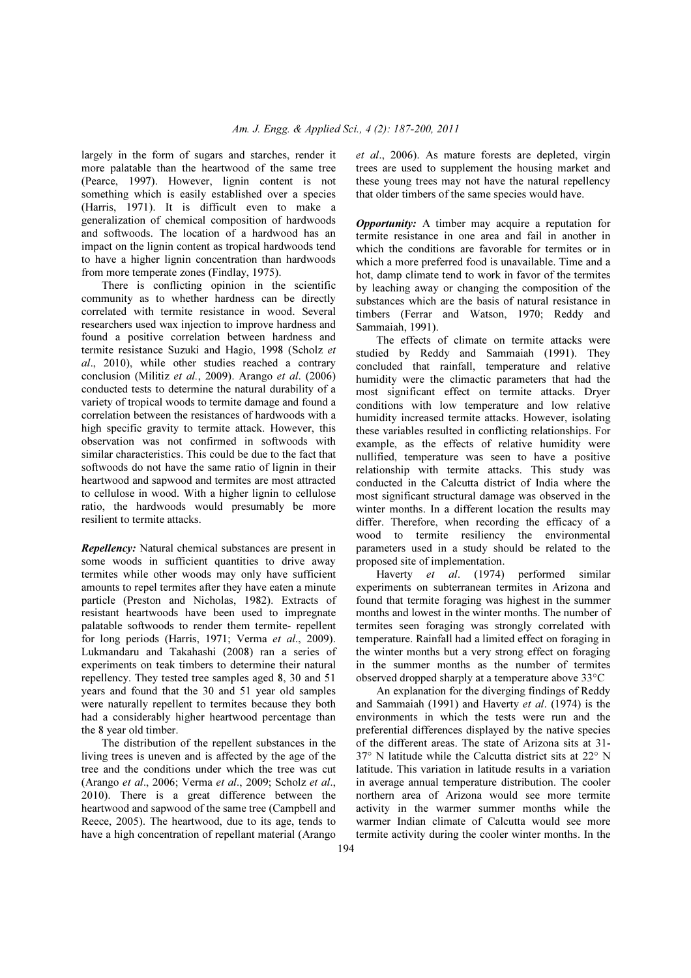largely in the form of sugars and starches, render it more palatable than the heartwood of the same tree (Pearce, 1997). However, lignin content is not something which is easily established over a species (Harris, 1971). It is difficult even to make a generalization of chemical composition of hardwoods and softwoods. The location of a hardwood has an impact on the lignin content as tropical hardwoods tend to have a higher lignin concentration than hardwoods from more temperate zones (Findlay, 1975).

 There is conflicting opinion in the scientific community as to whether hardness can be directly correlated with termite resistance in wood. Several researchers used wax injection to improve hardness and found a positive correlation between hardness and termite resistance Suzuki and Hagio, 1998 (Scholz et al., 2010), while other studies reached a contrary conclusion (Militiz et al., 2009). Arango et al. (2006) conducted tests to determine the natural durability of a variety of tropical woods to termite damage and found a correlation between the resistances of hardwoods with a high specific gravity to termite attack. However, this observation was not confirmed in softwoods with similar characteristics. This could be due to the fact that softwoods do not have the same ratio of lignin in their heartwood and sapwood and termites are most attracted to cellulose in wood. With a higher lignin to cellulose ratio, the hardwoods would presumably be more resilient to termite attacks.

Repellency: Natural chemical substances are present in some woods in sufficient quantities to drive away termites while other woods may only have sufficient amounts to repel termites after they have eaten a minute particle (Preston and Nicholas, 1982). Extracts of resistant heartwoods have been used to impregnate palatable softwoods to render them termite- repellent for long periods (Harris, 1971; Verma et al., 2009). Lukmandaru and Takahashi (2008) ran a series of experiments on teak timbers to determine their natural repellency. They tested tree samples aged 8, 30 and 51 years and found that the 30 and 51 year old samples were naturally repellent to termites because they both had a considerably higher heartwood percentage than the 8 year old timber.

 The distribution of the repellent substances in the living trees is uneven and is affected by the age of the tree and the conditions under which the tree was cut (Arango et al., 2006; Verma et al., 2009; Scholz et al., 2010). There is a great difference between the heartwood and sapwood of the same tree (Campbell and Reece, 2005). The heartwood, due to its age, tends to have a high concentration of repellant material (Arango et al., 2006). As mature forests are depleted, virgin trees are used to supplement the housing market and these young trees may not have the natural repellency that older timbers of the same species would have.

**Opportunity:** A timber may acquire a reputation for termite resistance in one area and fail in another in which the conditions are favorable for termites or in which a more preferred food is unavailable. Time and a hot, damp climate tend to work in favor of the termites by leaching away or changing the composition of the substances which are the basis of natural resistance in timbers (Ferrar and Watson, 1970; Reddy and Sammaiah, 1991).

 The effects of climate on termite attacks were studied by Reddy and Sammaiah (1991). They concluded that rainfall, temperature and relative humidity were the climactic parameters that had the most significant effect on termite attacks. Dryer conditions with low temperature and low relative humidity increased termite attacks. However, isolating these variables resulted in conflicting relationships. For example, as the effects of relative humidity were nullified, temperature was seen to have a positive relationship with termite attacks. This study was conducted in the Calcutta district of India where the most significant structural damage was observed in the winter months. In a different location the results may differ. Therefore, when recording the efficacy of a wood to termite resiliency the environmental parameters used in a study should be related to the proposed site of implementation.

 Haverty et al. (1974) performed similar experiments on subterranean termites in Arizona and found that termite foraging was highest in the summer months and lowest in the winter months. The number of termites seen foraging was strongly correlated with temperature. Rainfall had a limited effect on foraging in the winter months but a very strong effect on foraging in the summer months as the number of termites observed dropped sharply at a temperature above 33°C

 An explanation for the diverging findings of Reddy and Sammaiah (1991) and Haverty et al. (1974) is the environments in which the tests were run and the preferential differences displayed by the native species of the different areas. The state of Arizona sits at 31- 37° N latitude while the Calcutta district sits at 22° N latitude. This variation in latitude results in a variation in average annual temperature distribution. The cooler northern area of Arizona would see more termite activity in the warmer summer months while the warmer Indian climate of Calcutta would see more termite activity during the cooler winter months. In the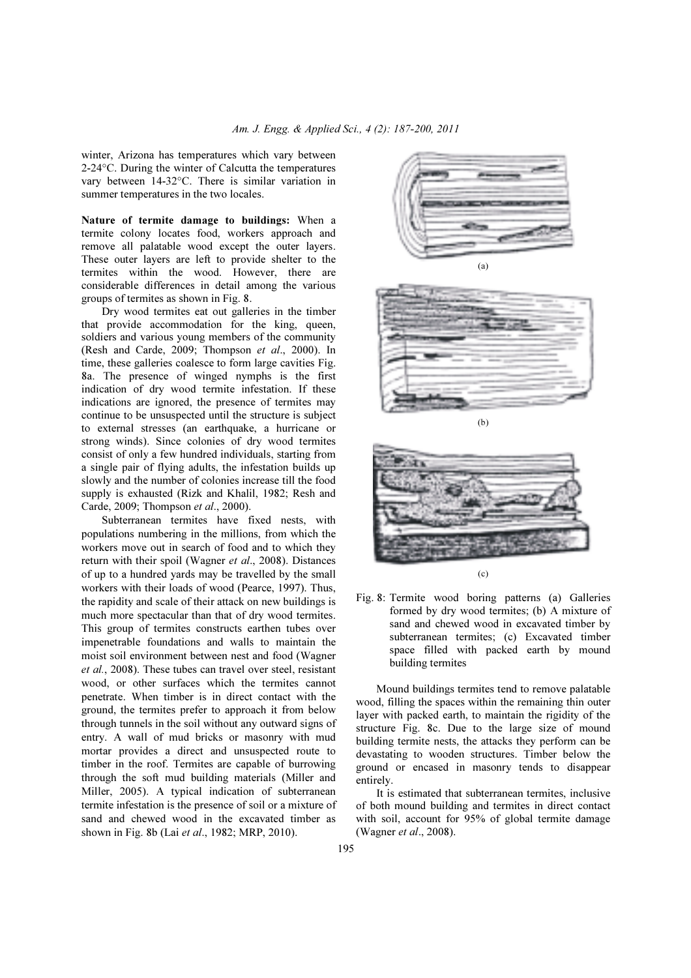winter, Arizona has temperatures which vary between 2-24°C. During the winter of Calcutta the temperatures vary between 14-32°C. There is similar variation in summer temperatures in the two locales.

Nature of termite damage to buildings: When a termite colony locates food, workers approach and remove all palatable wood except the outer layers. These outer layers are left to provide shelter to the termites within the wood. However, there are considerable differences in detail among the various groups of termites as shown in Fig. 8.

 Dry wood termites eat out galleries in the timber that provide accommodation for the king, queen, soldiers and various young members of the community (Resh and Carde, 2009; Thompson et al., 2000). In time, these galleries coalesce to form large cavities Fig. 8a. The presence of winged nymphs is the first indication of dry wood termite infestation. If these indications are ignored, the presence of termites may continue to be unsuspected until the structure is subject to external stresses (an earthquake, a hurricane or strong winds). Since colonies of dry wood termites consist of only a few hundred individuals, starting from a single pair of flying adults, the infestation builds up slowly and the number of colonies increase till the food supply is exhausted (Rizk and Khalil, 1982; Resh and Carde, 2009; Thompson et al., 2000).

 Subterranean termites have fixed nests, with populations numbering in the millions, from which the workers move out in search of food and to which they return with their spoil (Wagner et al., 2008). Distances of up to a hundred yards may be travelled by the small workers with their loads of wood (Pearce, 1997). Thus, the rapidity and scale of their attack on new buildings is much more spectacular than that of dry wood termites. This group of termites constructs earthen tubes over impenetrable foundations and walls to maintain the moist soil environment between nest and food (Wagner et al., 2008). These tubes can travel over steel, resistant wood, or other surfaces which the termites cannot penetrate. When timber is in direct contact with the ground, the termites prefer to approach it from below through tunnels in the soil without any outward signs of entry. A wall of mud bricks or masonry with mud mortar provides a direct and unsuspected route to timber in the roof. Termites are capable of burrowing through the soft mud building materials (Miller and Miller, 2005). A typical indication of subterranean termite infestation is the presence of soil or a mixture of sand and chewed wood in the excavated timber as shown in Fig. 8b (Lai et al., 1982; MRP, 2010).



 $(c)$ 

Fig. 8: Termite wood boring patterns (a) Galleries formed by dry wood termites; (b) A mixture of sand and chewed wood in excavated timber by subterranean termites; (c) Excavated timber space filled with packed earth by mound building termites

 Mound buildings termites tend to remove palatable wood, filling the spaces within the remaining thin outer layer with packed earth, to maintain the rigidity of the structure Fig. 8c. Due to the large size of mound building termite nests, the attacks they perform can be devastating to wooden structures. Timber below the ground or encased in masonry tends to disappear entirely.

 It is estimated that subterranean termites, inclusive of both mound building and termites in direct contact with soil, account for 95% of global termite damage (Wagner et al., 2008).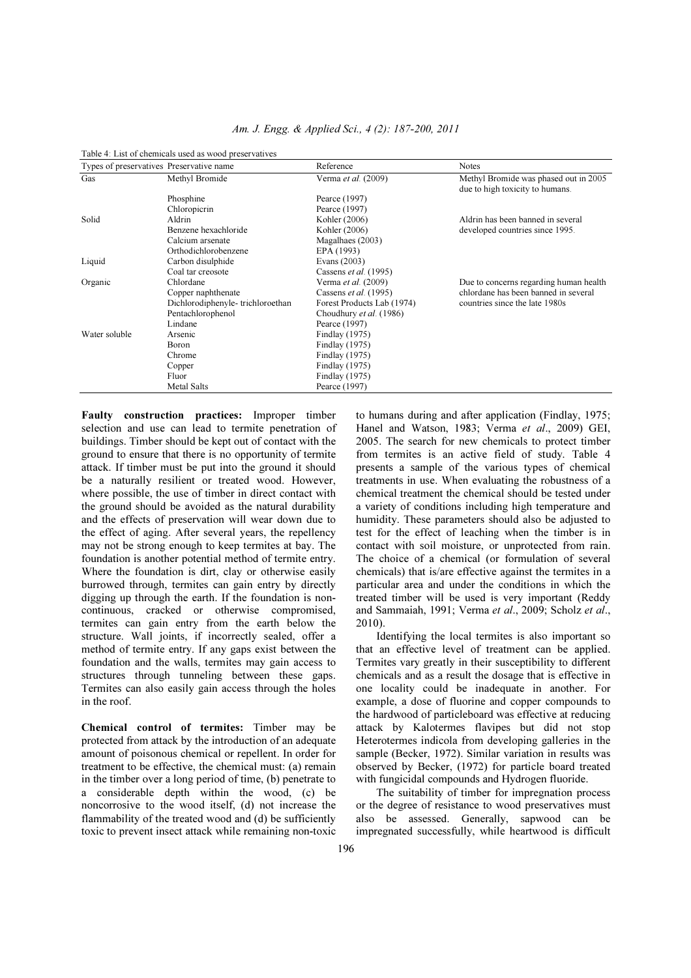|               | Types of preservatives Preservative name | Reference                    | <b>Notes</b>                                                             |
|---------------|------------------------------------------|------------------------------|--------------------------------------------------------------------------|
| Gas           | Methyl Bromide                           | Verma et al. (2009)          | Methyl Bromide was phased out in 2005<br>due to high toxicity to humans. |
|               | Phosphine                                | Pearce (1997)                |                                                                          |
|               | Chloropicrin                             | Pearce (1997)                |                                                                          |
| Solid         | Aldrin                                   | Kohler (2006)                | Aldrin has been banned in several                                        |
|               | Benzene hexachloride                     | Kohler (2006)                | developed countries since 1995.                                          |
|               | Calcium arsenate                         | Magalhaes (2003)             |                                                                          |
|               | Orthodichlorobenzene                     | EPA (1993)                   |                                                                          |
| Liquid        | Carbon disulphide                        | Evans $(2003)$               |                                                                          |
|               | Coal tar creosote                        | Cassens <i>et al.</i> (1995) |                                                                          |
| Organic       | Chlordane                                | Verma et al. (2009)          | Due to concerns regarding human health                                   |
|               | Copper naphthenate                       | Cassens et al. (1995)        | chlordane has been banned in several                                     |
|               | Dichlorodiphenyle-trichloroethan         | Forest Products Lab (1974)   | countries since the late 1980s                                           |
|               | Pentachlorophenol                        | Choudhury et al. (1986)      |                                                                          |
|               | Lindane                                  | Pearce (1997)                |                                                                          |
| Water soluble | Arsenic                                  | Findlay (1975)               |                                                                          |
|               | Boron                                    | Findlay (1975)               |                                                                          |
|               | Chrome                                   | Findlay (1975)               |                                                                          |
|               | Copper                                   | Findlay (1975)               |                                                                          |
|               | Fluor                                    | Findlay (1975)               |                                                                          |
|               | <b>Metal Salts</b>                       | Pearce (1997)                |                                                                          |

Am. J. Engg. & Applied Sci., 4 (2): 187-200, 2011

 $T$ Table 4: List of chemicals used as working used as working used as working  $T$ 

Faulty construction practices: Improper timber selection and use can lead to termite penetration of buildings. Timber should be kept out of contact with the ground to ensure that there is no opportunity of termite attack. If timber must be put into the ground it should be a naturally resilient or treated wood. However, where possible, the use of timber in direct contact with the ground should be avoided as the natural durability and the effects of preservation will wear down due to the effect of aging. After several years, the repellency may not be strong enough to keep termites at bay. The foundation is another potential method of termite entry. Where the foundation is dirt, clay or otherwise easily burrowed through, termites can gain entry by directly digging up through the earth. If the foundation is noncontinuous, cracked or otherwise compromised, termites can gain entry from the earth below the structure. Wall joints, if incorrectly sealed, offer a method of termite entry. If any gaps exist between the foundation and the walls, termites may gain access to structures through tunneling between these gaps. Termites can also easily gain access through the holes in the roof.

Chemical control of termites: Timber may be protected from attack by the introduction of an adequate amount of poisonous chemical or repellent. In order for treatment to be effective, the chemical must: (a) remain in the timber over a long period of time, (b) penetrate to a considerable depth within the wood, (c) be noncorrosive to the wood itself, (d) not increase the flammability of the treated wood and (d) be sufficiently toxic to prevent insect attack while remaining non-toxic

to humans during and after application (Findlay, 1975; Hanel and Watson, 1983; Verma et al., 2009) GEI, 2005. The search for new chemicals to protect timber from termites is an active field of study. Table 4 presents a sample of the various types of chemical treatments in use. When evaluating the robustness of a chemical treatment the chemical should be tested under a variety of conditions including high temperature and humidity. These parameters should also be adjusted to test for the effect of leaching when the timber is in contact with soil moisture, or unprotected from rain. The choice of a chemical (or formulation of several chemicals) that is/are effective against the termites in a particular area and under the conditions in which the treated timber will be used is very important (Reddy and Sammaiah, 1991; Verma et al., 2009; Scholz et al., 2010).

 Identifying the local termites is also important so that an effective level of treatment can be applied. Termites vary greatly in their susceptibility to different chemicals and as a result the dosage that is effective in one locality could be inadequate in another. For example, a dose of fluorine and copper compounds to the hardwood of particleboard was effective at reducing attack by Kalotermes flavipes but did not stop Heterotermes indicola from developing galleries in the sample (Becker, 1972). Similar variation in results was observed by Becker, (1972) for particle board treated with fungicidal compounds and Hydrogen fluoride.

 The suitability of timber for impregnation process or the degree of resistance to wood preservatives must also be assessed. Generally, sapwood can be impregnated successfully, while heartwood is difficult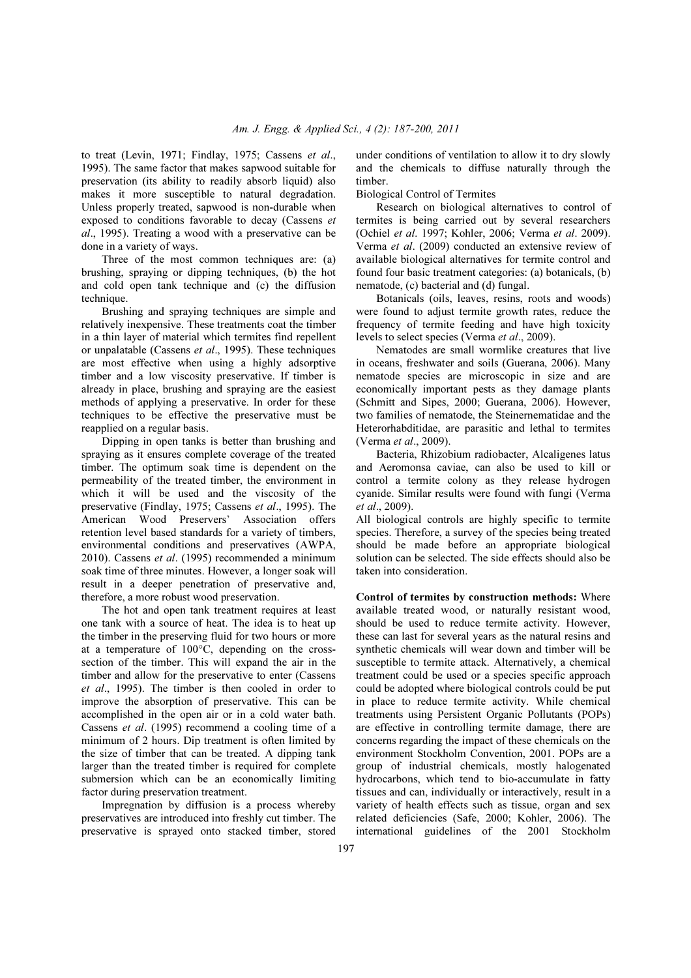to treat (Levin, 1971; Findlay, 1975; Cassens et al., 1995). The same factor that makes sapwood suitable for preservation (its ability to readily absorb liquid) also makes it more susceptible to natural degradation. Unless properly treated, sapwood is non-durable when exposed to conditions favorable to decay (Cassens et al., 1995). Treating a wood with a preservative can be done in a variety of ways.

 Three of the most common techniques are: (a) brushing, spraying or dipping techniques, (b) the hot and cold open tank technique and (c) the diffusion technique.

 Brushing and spraying techniques are simple and relatively inexpensive. These treatments coat the timber in a thin layer of material which termites find repellent or unpalatable (Cassens et al., 1995). These techniques are most effective when using a highly adsorptive timber and a low viscosity preservative. If timber is already in place, brushing and spraying are the easiest methods of applying a preservative. In order for these techniques to be effective the preservative must be reapplied on a regular basis.

 Dipping in open tanks is better than brushing and spraying as it ensures complete coverage of the treated timber. The optimum soak time is dependent on the permeability of the treated timber, the environment in which it will be used and the viscosity of the preservative (Findlay, 1975; Cassens et al., 1995). The American Wood Preservers' Association offers retention level based standards for a variety of timbers, environmental conditions and preservatives (AWPA, 2010). Cassens et al. (1995) recommended a minimum soak time of three minutes. However, a longer soak will result in a deeper penetration of preservative and, therefore, a more robust wood preservation.

 The hot and open tank treatment requires at least one tank with a source of heat. The idea is to heat up the timber in the preserving fluid for two hours or more at a temperature of 100°C, depending on the crosssection of the timber. This will expand the air in the timber and allow for the preservative to enter (Cassens et al., 1995). The timber is then cooled in order to improve the absorption of preservative. This can be accomplished in the open air or in a cold water bath. Cassens et al. (1995) recommend a cooling time of a minimum of 2 hours. Dip treatment is often limited by the size of timber that can be treated. A dipping tank larger than the treated timber is required for complete submersion which can be an economically limiting factor during preservation treatment.

 Impregnation by diffusion is a process whereby preservatives are introduced into freshly cut timber. The preservative is sprayed onto stacked timber, stored under conditions of ventilation to allow it to dry slowly and the chemicals to diffuse naturally through the timber.

Biological Control of Termites

 Research on biological alternatives to control of termites is being carried out by several researchers (Ochiel et al. 1997; Kohler, 2006; Verma et al. 2009). Verma et al. (2009) conducted an extensive review of available biological alternatives for termite control and found four basic treatment categories: (a) botanicals, (b) nematode, (c) bacterial and (d) fungal.

 Botanicals (oils, leaves, resins, roots and woods) were found to adjust termite growth rates, reduce the frequency of termite feeding and have high toxicity levels to select species (Verma et al., 2009).

 Nematodes are small wormlike creatures that live in oceans, freshwater and soils (Guerana, 2006). Many nematode species are microscopic in size and are economically important pests as they damage plants (Schmitt and Sipes, 2000; Guerana, 2006). However, two families of nematode, the Steinernematidae and the Heterorhabditidae, are parasitic and lethal to termites (Verma et al., 2009).

 Bacteria, Rhizobium radiobacter, Alcaligenes latus and Aeromonsa caviae, can also be used to kill or control a termite colony as they release hydrogen cyanide. Similar results were found with fungi (Verma et al., 2009).

All biological controls are highly specific to termite species. Therefore, a survey of the species being treated should be made before an appropriate biological solution can be selected. The side effects should also be taken into consideration.

Control of termites by construction methods: Where available treated wood, or naturally resistant wood, should be used to reduce termite activity. However, these can last for several years as the natural resins and synthetic chemicals will wear down and timber will be susceptible to termite attack. Alternatively, a chemical treatment could be used or a species specific approach could be adopted where biological controls could be put in place to reduce termite activity. While chemical treatments using Persistent Organic Pollutants (POPs) are effective in controlling termite damage, there are concerns regarding the impact of these chemicals on the environment Stockholm Convention, 2001. POPs are a group of industrial chemicals, mostly halogenated hydrocarbons, which tend to bio-accumulate in fatty tissues and can, individually or interactively, result in a variety of health effects such as tissue, organ and sex related deficiencies (Safe, 2000; Kohler, 2006). The international guidelines of the 2001 Stockholm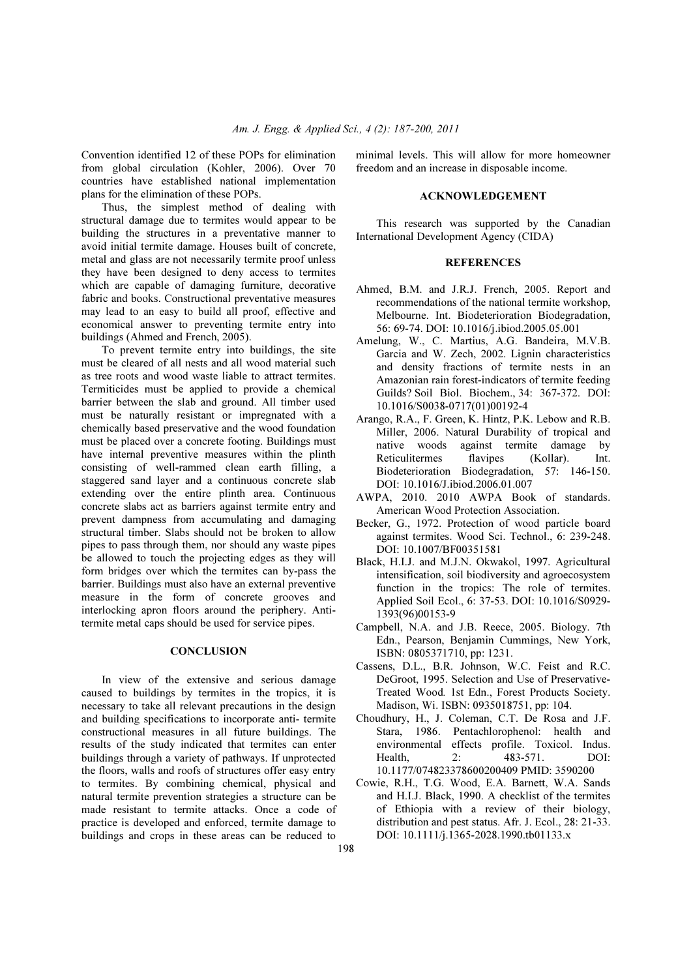Convention identified 12 of these POPs for elimination from global circulation (Kohler, 2006). Over 70 countries have established national implementation plans for the elimination of these POPs.

 Thus, the simplest method of dealing with structural damage due to termites would appear to be building the structures in a preventative manner to avoid initial termite damage. Houses built of concrete, metal and glass are not necessarily termite proof unless they have been designed to deny access to termites which are capable of damaging furniture, decorative fabric and books. Constructional preventative measures may lead to an easy to build all proof, effective and economical answer to preventing termite entry into buildings (Ahmed and French, 2005).

 To prevent termite entry into buildings, the site must be cleared of all nests and all wood material such as tree roots and wood waste liable to attract termites. Termiticides must be applied to provide a chemical barrier between the slab and ground. All timber used must be naturally resistant or impregnated with a chemically based preservative and the wood foundation must be placed over a concrete footing. Buildings must have internal preventive measures within the plinth consisting of well-rammed clean earth filling, a staggered sand layer and a continuous concrete slab extending over the entire plinth area. Continuous concrete slabs act as barriers against termite entry and prevent dampness from accumulating and damaging structural timber. Slabs should not be broken to allow pipes to pass through them, nor should any waste pipes be allowed to touch the projecting edges as they will form bridges over which the termites can by-pass the barrier. Buildings must also have an external preventive measure in the form of concrete grooves and interlocking apron floors around the periphery. Antitermite metal caps should be used for service pipes.

### **CONCLUSION**

 In view of the extensive and serious damage caused to buildings by termites in the tropics, it is necessary to take all relevant precautions in the design and building specifications to incorporate anti- termite constructional measures in all future buildings. The results of the study indicated that termites can enter buildings through a variety of pathways. If unprotected the floors, walls and roofs of structures offer easy entry to termites. By combining chemical, physical and natural termite prevention strategies a structure can be made resistant to termite attacks. Once a code of practice is developed and enforced, termite damage to buildings and crops in these areas can be reduced to

minimal levels. This will allow for more homeowner freedom and an increase in disposable income.

### ACKNOWLEDGEMENT

 This research was supported by the Canadian International Development Agency (CIDA)

### **REFERENCES**

- Ahmed, B.M. and J.R.J. French, 2005. Report and recommendations of the national termite workshop, Melbourne. Int. Biodeterioration Biodegradation, 56: 69-74. DOI: 10.1016/j.ibiod.2005.05.001
- Amelung, W., C. Martius, A.G. Bandeira, M.V.B. Garcia and W. Zech, 2002. Lignin characteristics and density fractions of termite nests in an Amazonian rain forest-indicators of termite feeding Guilds? Soil Biol. Biochem., 34: 367-372. DOI: 10.1016/S0038-0717(01)00192-4
- Arango, R.A., F. Green, K. Hintz, P.K. Lebow and R.B. Miller, 2006. Natural Durability of tropical and native woods against termite damage by Reticulitermes flavipes (Kollar). Int. Biodeterioration Biodegradation, 57: 146-150. DOI: 10.1016/J.ibiod.2006.01.007
- AWPA, 2010. 2010 AWPA Book of standards. American Wood Protection Association.
- Becker, G., 1972. Protection of wood particle board against termites. Wood Sci. Technol., 6: 239-248. DOI: 10.1007/BF00351581
- Black, H.I.J. and M.J.N. Okwakol, 1997. Agricultural intensification, soil biodiversity and agroecosystem function in the tropics: The role of termites. Applied Soil Ecol., 6: 37-53. DOI: 10.1016/S0929- 1393(96)00153-9
- Campbell, N.A. and J.B. Reece, 2005. Biology. 7th Edn., Pearson, Benjamin Cummings, New York, ISBN: 0805371710, pp: 1231.
- Cassens, D.L., B.R. Johnson, W.C. Feist and R.C. DeGroot, 1995. Selection and Use of Preservative-Treated Wood. 1st Edn., Forest Products Society. Madison, Wi. ISBN: 0935018751, pp: 104.
- Choudhury, H., J. Coleman, C.T. De Rosa and J.F. Stara, 1986. Pentachlorophenol: health and environmental effects profile. Toxicol. Indus. Health, 2: 483-571. DOI: 10.1177/074823378600200409 PMID: 3590200
- Cowie, R.H., T.G. Wood, E.A. Barnett, W.A. Sands and H.I.J. Black, 1990. A checklist of the termites of Ethiopia with a review of their biology, distribution and pest status. Afr. J. Ecol., 28: 21-33. DOI: 10.1111/j.1365-2028.1990.tb01133.x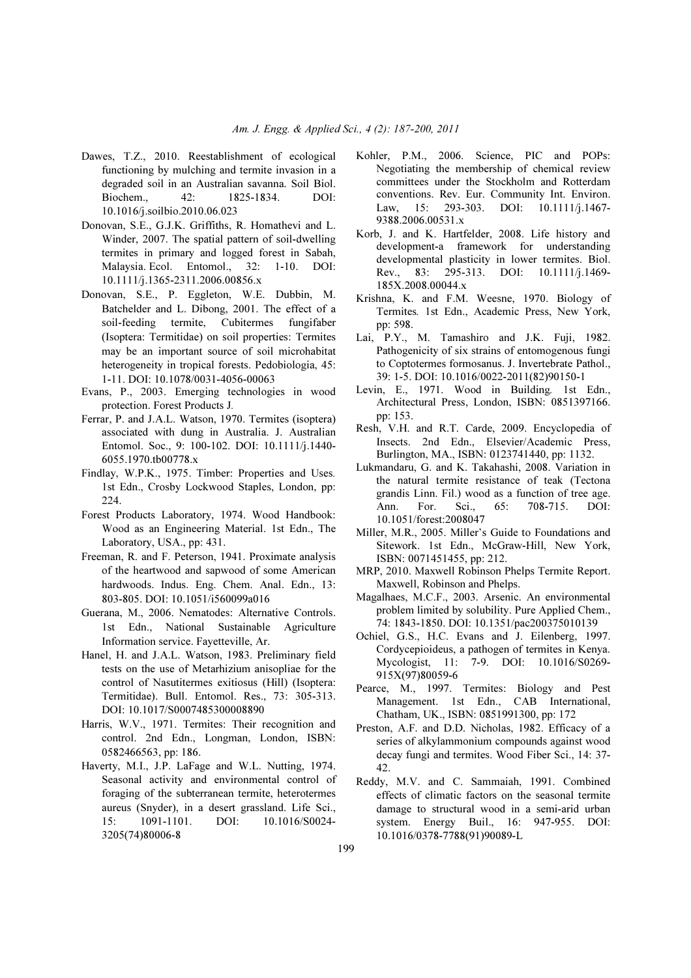- Dawes, T.Z., 2010. Reestablishment of ecological functioning by mulching and termite invasion in a degraded soil in an Australian savanna. Soil Biol. Biochem., 42: 1825-1834. DOI: 10.1016/j.soilbio.2010.06.023
- Donovan, S.E., G.J.K. Griffiths, R. Homathevi and L. Winder, 2007. The spatial pattern of soil-dwelling termites in primary and logged forest in Sabah, Malaysia. Ecol. Entomol., 32: 1-10. DOI: 10.1111/j.1365-2311.2006.00856.x
- Donovan, S.E., P. Eggleton, W.E. Dubbin, M. Batchelder and L. Dibong, 2001. The effect of a soil-feeding termite, Cubitermes fungifaber (Isoptera: Termitidae) on soil properties: Termites may be an important source of soil microhabitat heterogeneity in tropical forests. Pedobiologia, 45: 1-11. DOI: 10.1078/0031-4056-00063
- Evans, P., 2003. Emerging technologies in wood protection. Forest Products J.
- Ferrar, P. and J.A.L. Watson, 1970. Termites (isoptera) associated with dung in Australia. J. Australian Entomol. Soc., 9: 100-102. DOI: 10.1111/j.1440- 6055.1970.tb00778.x
- Findlay, W.P.K., 1975. Timber: Properties and Uses. 1st Edn., Crosby Lockwood Staples, London, pp: 224.
- Forest Products Laboratory, 1974. Wood Handbook: Wood as an Engineering Material. 1st Edn., The Laboratory, USA., pp: 431.
- Freeman, R. and F. Peterson, 1941. Proximate analysis of the heartwood and sapwood of some American hardwoods. Indus. Eng. Chem. Anal. Edn., 13: 803-805. DOI: 10.1051/i560099a016
- Guerana, M., 2006. Nematodes: Alternative Controls. 1st Edn., National Sustainable Agriculture Information service. Fayetteville, Ar.
- Hanel, H. and J.A.L. Watson, 1983. Preliminary field tests on the use of Metarhizium anisopliae for the control of Nasutitermes exitiosus (Hill) (Isoptera: Termitidae). Bull. Entomol. Res., 73: 305-313. DOI: 10.1017/S0007485300008890
- Harris, W.V., 1971. Termites: Their recognition and control. 2nd Edn., Longman, London, ISBN: 0582466563, pp: 186.
- Haverty, M.I., J.P. LaFage and W.L. Nutting, 1974. Seasonal activity and environmental control of foraging of the subterranean termite, heterotermes aureus (Snyder), in a desert grassland. Life Sci., 15: 1091-1101. DOI: 10.1016/S0024- 3205(74)80006-8
- Kohler, P.M., 2006. Science, PIC and POPs: Negotiating the membership of chemical review committees under the Stockholm and Rotterdam conventions. Rev. Eur. Community Int. Environ. Law, 15: 293-303. DOI: 10.1111/j.1467- 9388.2006.00531.x
- Korb, J. and K. Hartfelder, 2008. Life history and development-a framework for understanding developmental plasticity in lower termites. Biol. Rev., 83: 295-313. DOI: 10.1111/j.1469- 185X.2008.00044.x
- Krishna, K. and F.M. Weesne, 1970. Biology of Termites. 1st Edn., Academic Press, New York, pp: 598.
- Lai, P.Y., M. Tamashiro and J.K. Fuji, 1982. Pathogenicity of six strains of entomogenous fungi to Coptotermes formosanus. J. Invertebrate Pathol., 39: 1-5. DOI: 10.1016/0022-2011(82)90150-1
- Levin, E., 1971. Wood in Building. 1st Edn., Architectural Press, London, ISBN: 0851397166. pp: 153.
- Resh, V.H. and R.T. Carde, 2009. Encyclopedia of Insects. 2nd Edn., Elsevier/Academic Press, Burlington, MA., ISBN: 0123741440, pp: 1132.
- Lukmandaru, G. and K. Takahashi, 2008. Variation in the natural termite resistance of teak (Tectona grandis Linn. Fil.) wood as a function of tree age. Ann. For. Sci., 65: 708-715. DOI: 10.1051/forest:2008047
- Miller, M.R., 2005. Miller's Guide to Foundations and Sitework. 1st Edn., McGraw-Hill, New York, ISBN: 0071451455, pp: 212.
- MRP, 2010. Maxwell Robinson Phelps Termite Report. Maxwell, Robinson and Phelps.
- Magalhaes, M.C.F., 2003. Arsenic. An environmental problem limited by solubility. Pure Applied Chem., 74: 1843-1850. DOI: 10.1351/pac200375010139
- Ochiel, G.S., H.C. Evans and J. Eilenberg, 1997. Cordycepioideus, a pathogen of termites in Kenya. Mycologist, 11: 7-9. DOI: 10.1016/S0269- 915X(97)80059-6
- Pearce, M., 1997. Termites: Biology and Pest Management. 1st Edn., CAB International, Chatham, UK., ISBN: 0851991300, pp: 172
- Preston, A.F. and D.D. Nicholas, 1982. Efficacy of a series of alkylammonium compounds against wood decay fungi and termites. Wood Fiber Sci., 14: 37- 42.
- Reddy, M.V. and C. Sammaiah, 1991. Combined effects of climatic factors on the seasonal termite damage to structural wood in a semi-arid urban system. Energy Buil., 16: 947-955. DOI: 10.1016/0378-7788(91)90089-L